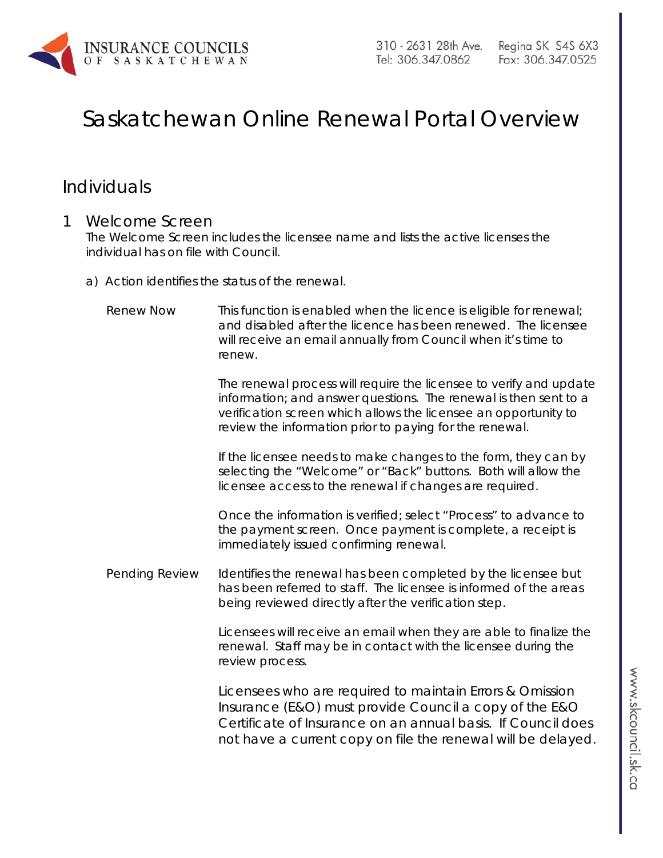

# Saskatchewan Online Renewal Portal Overview

### Individuals

### 1 Welcome Screen

The Welcome Screen includes the licensee name and lists the active licenses the individual has on file with Council.

a) Action identifies the status of the renewal.

| <b>Renew Now</b> | This function is enabled when the licence is eligible for renewal;<br>and disabled after the licence has been renewed. The licensee<br>will receive an email annually from Council when it's time to<br>renew.                                                       |
|------------------|----------------------------------------------------------------------------------------------------------------------------------------------------------------------------------------------------------------------------------------------------------------------|
|                  | The renewal process will require the licensee to verify and update<br>information; and answer questions. The renewal is then sent to a<br>verification screen which allows the licensee an opportunity to<br>review the information prior to paying for the renewal. |
|                  | If the licensee needs to make changes to the form, they can by<br>selecting the "Welcome" or "Back" buttons. Both will allow the<br>licensee access to the renewal if changes are required.                                                                          |
|                  | Once the information is verified; select "Process" to advance to<br>the payment screen. Once payment is complete, a receipt is<br>immediately issued confirming renewal.                                                                                             |
| Pending Review   | Identifies the renewal has been completed by the licensee but<br>has been referred to staff. The licensee is informed of the areas<br>being reviewed directly after the verification step.                                                                           |
|                  | Licensees will receive an email when they are able to finalize the<br>renewal. Staff may be in contact with the licensee during the<br>review process.                                                                                                               |
|                  | Licensees who are required to maintain Errors & Omission<br>Insurance (E&O) must provide Council a copy of the E&O<br>Certificate of Insurance on an annual basis. If Council does<br>not have a current copy on file the renewal will be delayed.                   |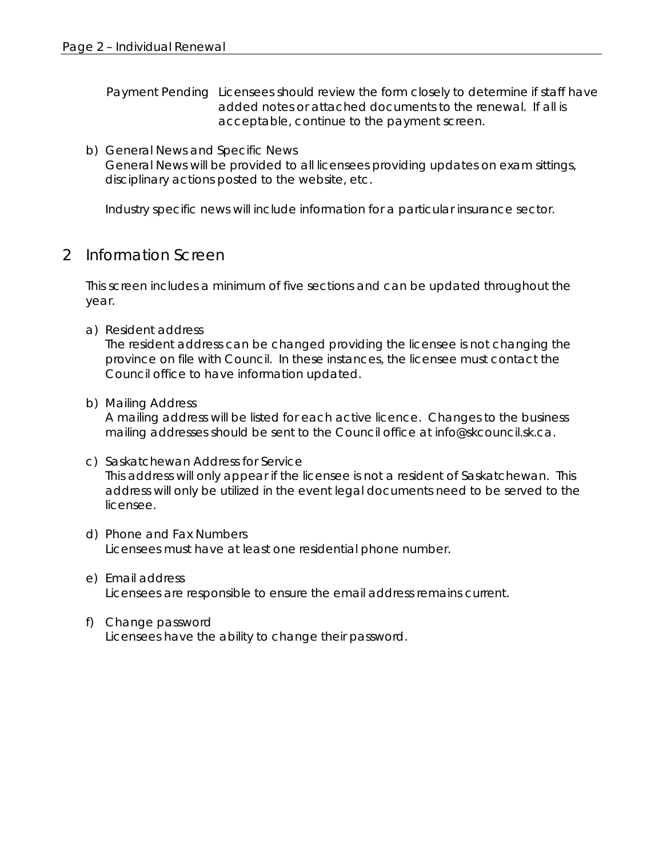Payment Pending Licensees should review the form closely to determine if staff have added notes or attached documents to the renewal. If all is acceptable, continue to the payment screen.

b) General News and Specific News General News will be provided to all licensees providing updates on exam sittings, disciplinary actions posted to the website, etc.

Industry specific news will include information for a particular insurance sector.

### 2 Information Screen

This screen includes a minimum of five sections and can be updated throughout the year.

a) Resident address

The resident address can be changed providing the licensee is not changing the province on file with Council. In these instances, the licensee must contact the Council office to have information updated.

b) Mailing Address

A mailing address will be listed for each active licence. Changes to the business mailing addresses should be sent to the Council office at [info@skcouncil.sk.ca.](mailto:info@skcouncil.sk.ca)

- c) Saskatchewan Address for Service *This address will only appear if the licensee is not a resident of Saskatchewan.* This address will only be utilized in the event legal documents need to be served to the licensee.
- d) Phone and Fax Numbers Licensees must have at least one residential phone number.
- e) Email address Licensees are responsible to ensure the email address remains current.
- f) Change password Licensees have the ability to change their password.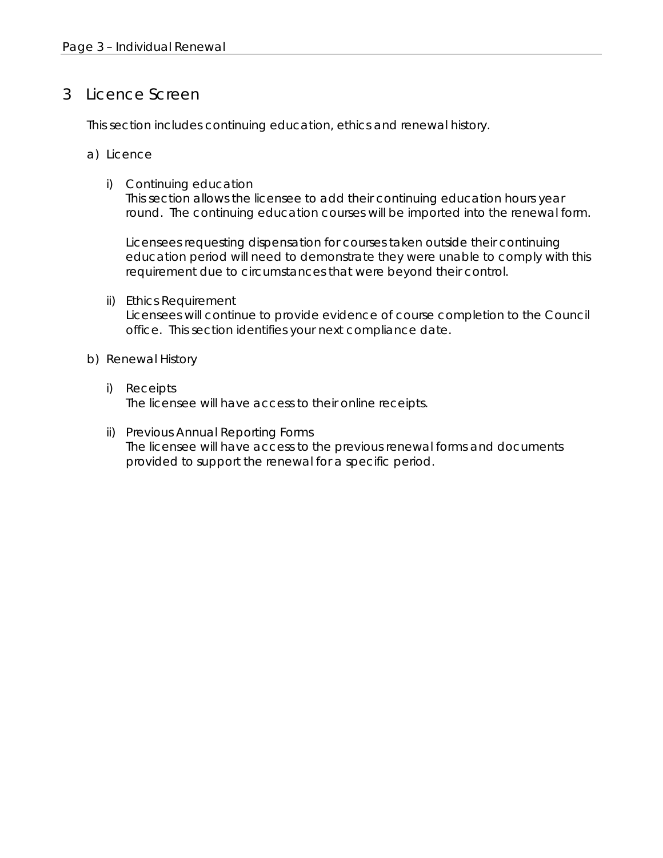### 3 Licence Screen

This section includes continuing education, ethics and renewal history.

- a) Licence
	- i) Continuing education

This section allows the licensee to add their continuing education hours year round. The continuing education courses will be imported into the renewal form.

Licensees requesting dispensation for courses taken outside their continuing education period will need to demonstrate they were unable to comply with this requirement due to circumstances that were beyond their control.

ii) Ethics Requirement

Licensees will continue to provide evidence of course completion to the Council office. This section identifies your next compliance date.

- b) Renewal History
	- i) Receipts The licensee will have access to their online receipts.
	- ii) Previous Annual Reporting Forms The licensee will have access to the previous renewal forms and documents provided to support the renewal for a specific period.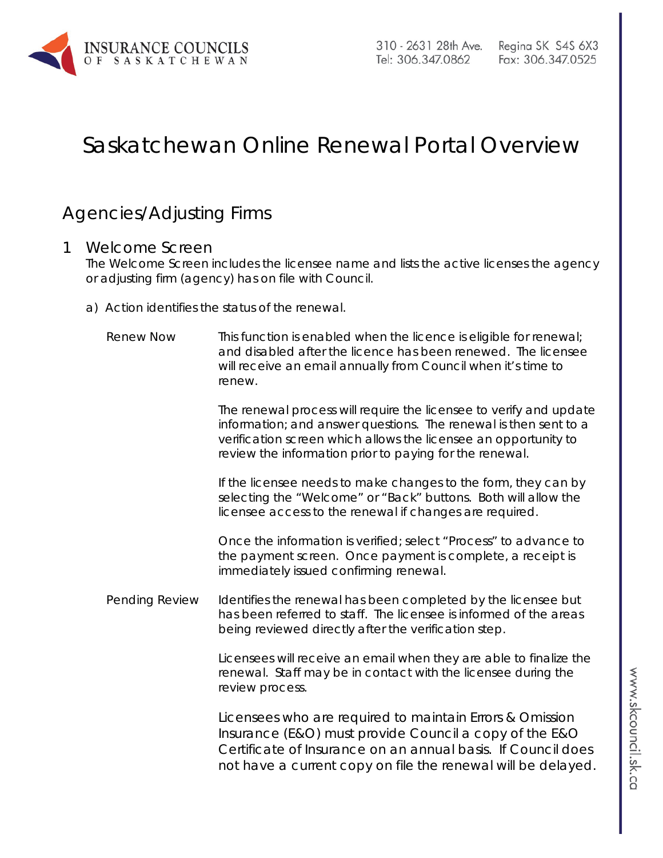

## Saskatchewan Online Renewal Portal Overview

### Agencies/Adjusting Firms

### 1 Welcome Screen

The Welcome Screen includes the licensee name and lists the active licenses the agency or adjusting firm (agency) has on file with Council.

a) Action identifies the status of the renewal.

| <b>Renew Now</b> | This function is enabled when the licence is eligible for renewal;<br>and disabled after the licence has been renewed. The licensee<br>will receive an email annually from Council when it's time to<br>renew.                                                       |
|------------------|----------------------------------------------------------------------------------------------------------------------------------------------------------------------------------------------------------------------------------------------------------------------|
|                  | The renewal process will require the licensee to verify and update<br>information; and answer questions. The renewal is then sent to a<br>verification screen which allows the licensee an opportunity to<br>review the information prior to paying for the renewal. |
|                  | If the licensee needs to make changes to the form, they can by<br>selecting the "Welcome" or "Back" buttons. Both will allow the<br>licensee access to the renewal if changes are required.                                                                          |
|                  | Once the information is verified; select "Process" to advance to<br>the payment screen. Once payment is complete, a receipt is<br>immediately issued confirming renewal.                                                                                             |
| Pending Review   | Identifies the renewal has been completed by the licensee but<br>has been referred to staff. The licensee is informed of the areas<br>being reviewed directly after the verification step.                                                                           |
|                  | Licensees will receive an email when they are able to finalize the<br>renewal. Staff may be in contact with the licensee during the<br>review process.                                                                                                               |
|                  | Licensees who are required to maintain Errors & Omission<br>Insurance (E&O) must provide Council a copy of the E&O<br>Certificate of Insurance on an annual basis. If Council does<br>not have a current copy on file the renewal will be delayed.                   |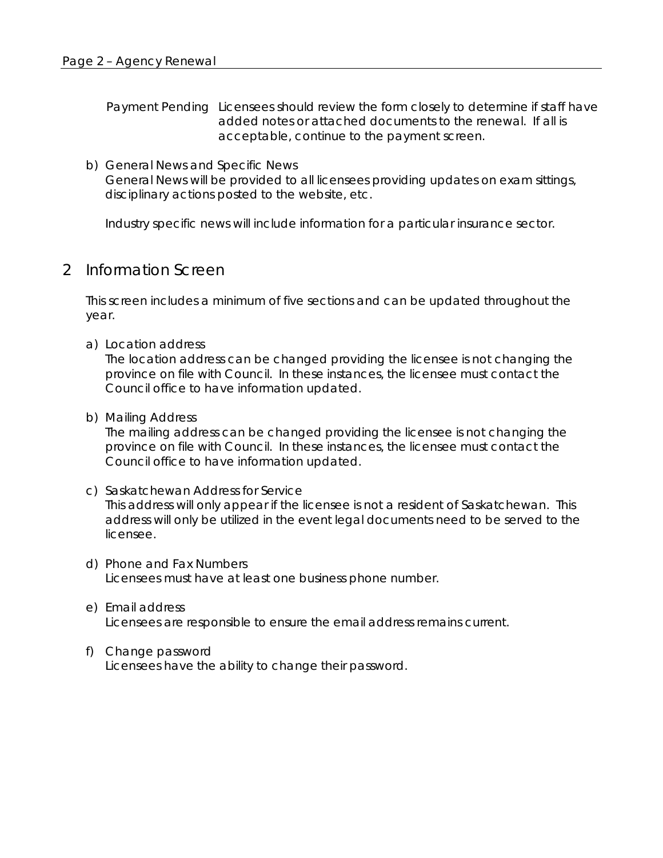Payment Pending Licensees should review the form closely to determine if staff have added notes or attached documents to the renewal. If all is acceptable, continue to the payment screen.

b) General News and Specific News General News will be provided to all licensees providing updates on exam sittings, disciplinary actions posted to the website, etc.

Industry specific news will include information for a particular insurance sector.

#### 2 Information Screen

This screen includes a minimum of five sections and can be updated throughout the year.

a) Location address

The location address can be changed providing the licensee is not changing the province on file with Council. In these instances, the licensee must contact the Council office to have information updated.

b) Mailing Address

The mailing address can be changed providing the licensee is not changing the province on file with Council. In these instances, the licensee must contact the Council office to have information updated.

- c) Saskatchewan Address for Service *This address will only appear if the licensee is not a resident of Saskatchewan.* This address will only be utilized in the event legal documents need to be served to the licensee.
- d) Phone and Fax Numbers Licensees must have at least one business phone number.
- e) Email address Licensees are responsible to ensure the email address remains current.
- f) Change password Licensees have the ability to change their password.